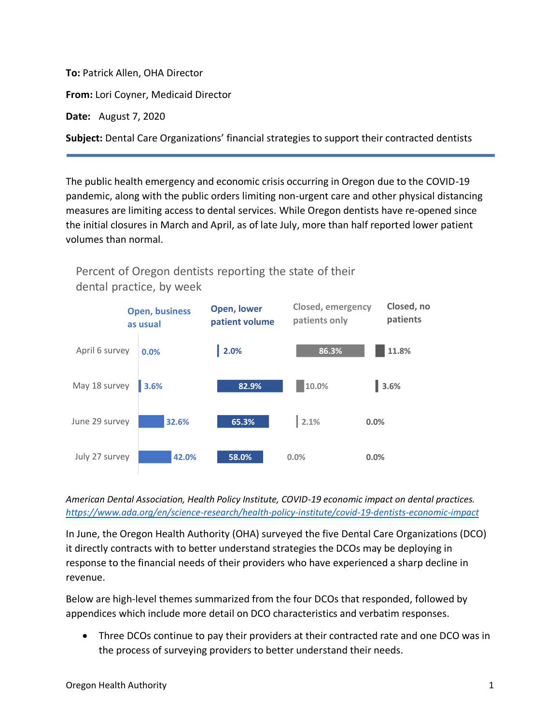**To:** Patrick Allen, OHA Director

**From:** Lori Coyner, Medicaid Director

**Date:** August 7, 2020

**Subject:** Dental Care Organizations' financial strategies to support their contracted dentists

The public health emergency and economic crisis occurring in Oregon due to the COVID-19 pandemic, along with the public orders limiting non-urgent care and other physical distancing measures are limiting access to dental services. While Oregon dentists have re-opened since the initial closures in March and April, as of late July, more than half reported lower patient volumes than normal.



Percent of Oregon dentists reporting the state of their dental practice, by week

*American Dental Association, Health Policy Institute, COVID-19 economic impact on dental practices. <https://www.ada.org/en/science-research/health-policy-institute/covid-19-dentists-economic-impact>*

In June, the Oregon Health Authority (OHA) surveyed the five Dental Care Organizations (DCO) it directly contracts with to better understand strategies the DCOs may be deploying in response to the financial needs of their providers who have experienced a sharp decline in revenue.

Below are high-level themes summarized from the four DCOs that responded, followed by appendices which include more detail on DCO characteristics and verbatim responses.

• Three DCOs continue to pay their providers at their contracted rate and one DCO was in the process of surveying providers to better understand their needs.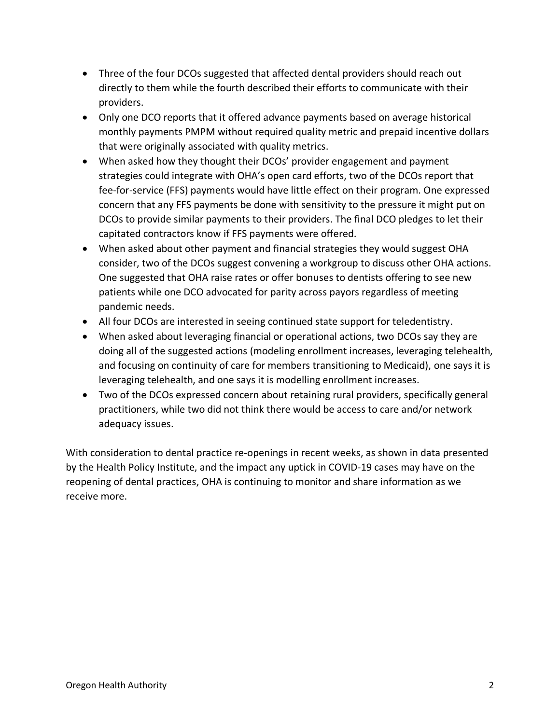- Three of the four DCOs suggested that affected dental providers should reach out directly to them while the fourth described their efforts to communicate with their providers.
- Only one DCO reports that it offered advance payments based on average historical monthly payments PMPM without required quality metric and prepaid incentive dollars that were originally associated with quality metrics.
- When asked how they thought their DCOs' provider engagement and payment strategies could integrate with OHA's open card efforts, two of the DCOs report that fee-for-service (FFS) payments would have little effect on their program. One expressed concern that any FFS payments be done with sensitivity to the pressure it might put on DCOs to provide similar payments to their providers. The final DCO pledges to let their capitated contractors know if FFS payments were offered.
- When asked about other payment and financial strategies they would suggest OHA consider, two of the DCOs suggest convening a workgroup to discuss other OHA actions. One suggested that OHA raise rates or offer bonuses to dentists offering to see new patients while one DCO advocated for parity across payors regardless of meeting pandemic needs.
- All four DCOs are interested in seeing continued state support for teledentistry.
- When asked about leveraging financial or operational actions, two DCOs say they are doing all of the suggested actions (modeling enrollment increases, leveraging telehealth, and focusing on continuity of care for members transitioning to Medicaid), one says it is leveraging telehealth, and one says it is modelling enrollment increases.
- Two of the DCOs expressed concern about retaining rural providers, specifically general practitioners, while two did not think there would be access to care and/or network adequacy issues.

With consideration to dental practice re-openings in recent weeks, as shown in data presented by the Health Policy Institute, and the impact any uptick in COVID-19 cases may have on the reopening of dental practices, OHA is continuing to monitor and share information as we receive more.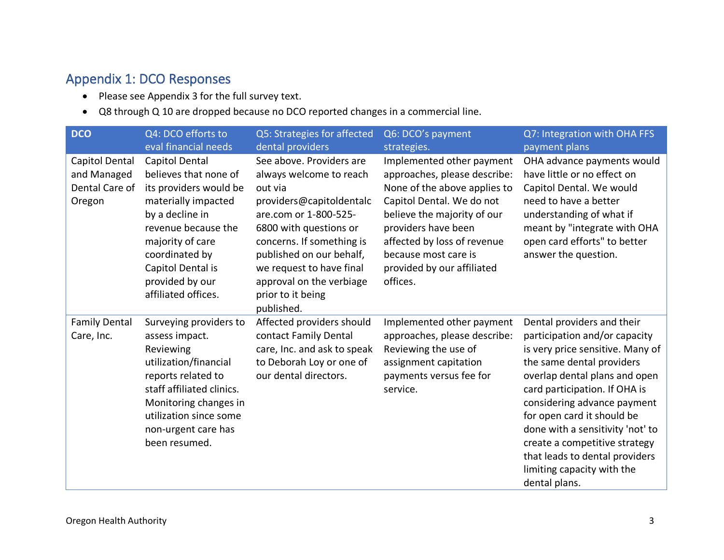## Appendix 1: DCO Responses

- Please see Appendix 3 for the full survey text.
- Q8 through Q 10 are dropped because no DCO reported changes in a commercial line.

| <b>DCO</b>                                                | Q4: DCO efforts to<br>eval financial needs                                                                                                                                                                                              | Q5: Strategies for affected<br>dental providers                                                                                                                                                                                                                                                   | Q6: DCO's payment<br>strategies.                                                                                                                                                                                                                                              | Q7: Integration with OHA FFS<br>payment plans                                                                                                                                                                                                                                                                                                                                                                     |
|-----------------------------------------------------------|-----------------------------------------------------------------------------------------------------------------------------------------------------------------------------------------------------------------------------------------|---------------------------------------------------------------------------------------------------------------------------------------------------------------------------------------------------------------------------------------------------------------------------------------------------|-------------------------------------------------------------------------------------------------------------------------------------------------------------------------------------------------------------------------------------------------------------------------------|-------------------------------------------------------------------------------------------------------------------------------------------------------------------------------------------------------------------------------------------------------------------------------------------------------------------------------------------------------------------------------------------------------------------|
| Capitol Dental<br>and Managed<br>Dental Care of<br>Oregon | Capitol Dental<br>believes that none of<br>its providers would be<br>materially impacted<br>by a decline in<br>revenue because the<br>majority of care<br>coordinated by<br>Capitol Dental is<br>provided by our<br>affiliated offices. | See above. Providers are<br>always welcome to reach<br>out via<br>providers@capitoldentalc<br>are.com or 1-800-525-<br>6800 with questions or<br>concerns. If something is<br>published on our behalf,<br>we request to have final<br>approval on the verbiage<br>prior to it being<br>published. | Implemented other payment<br>approaches, please describe:<br>None of the above applies to<br>Capitol Dental. We do not<br>believe the majority of our<br>providers have been<br>affected by loss of revenue<br>because most care is<br>provided by our affiliated<br>offices. | OHA advance payments would<br>have little or no effect on<br>Capitol Dental. We would<br>need to have a better<br>understanding of what if<br>meant by "integrate with OHA<br>open card efforts" to better<br>answer the question.                                                                                                                                                                                |
| <b>Family Dental</b><br>Care, Inc.                        | Surveying providers to<br>assess impact.<br>Reviewing<br>utilization/financial<br>reports related to<br>staff affiliated clinics.<br>Monitoring changes in<br>utilization since some<br>non-urgent care has<br>been resumed.            | Affected providers should<br>contact Family Dental<br>care, Inc. and ask to speak<br>to Deborah Loy or one of<br>our dental directors.                                                                                                                                                            | Implemented other payment<br>approaches, please describe:<br>Reviewing the use of<br>assignment capitation<br>payments versus fee for<br>service.                                                                                                                             | Dental providers and their<br>participation and/or capacity<br>is very price sensitive. Many of<br>the same dental providers<br>overlap dental plans and open<br>card participation. If OHA is<br>considering advance payment<br>for open card it should be<br>done with a sensitivity 'not' to<br>create a competitive strategy<br>that leads to dental providers<br>limiting capacity with the<br>dental plans. |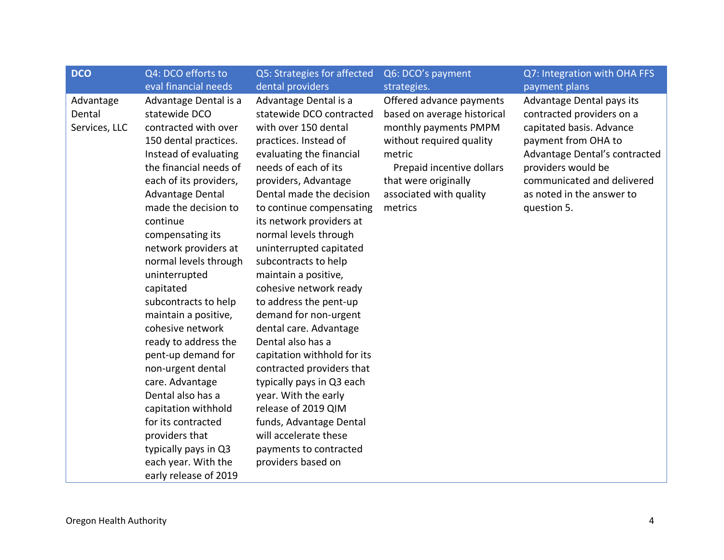| <b>DCO</b>                           | Q4: DCO efforts to                                                                                                                                                                                                                                                                                                                                                                                                                                                                                                                                                                                                                                    | Q5: Strategies for affected                                                                                                                                                                                                                                                                                                                                                                                                                                                                                                                                                                                                                                                                                                                    | Q6: DCO's payment                                                                                                                                                                                                 | Q7: Integration with OHA FFS                                                                                                                                                                                                               |
|--------------------------------------|-------------------------------------------------------------------------------------------------------------------------------------------------------------------------------------------------------------------------------------------------------------------------------------------------------------------------------------------------------------------------------------------------------------------------------------------------------------------------------------------------------------------------------------------------------------------------------------------------------------------------------------------------------|------------------------------------------------------------------------------------------------------------------------------------------------------------------------------------------------------------------------------------------------------------------------------------------------------------------------------------------------------------------------------------------------------------------------------------------------------------------------------------------------------------------------------------------------------------------------------------------------------------------------------------------------------------------------------------------------------------------------------------------------|-------------------------------------------------------------------------------------------------------------------------------------------------------------------------------------------------------------------|--------------------------------------------------------------------------------------------------------------------------------------------------------------------------------------------------------------------------------------------|
|                                      | eval financial needs                                                                                                                                                                                                                                                                                                                                                                                                                                                                                                                                                                                                                                  | dental providers                                                                                                                                                                                                                                                                                                                                                                                                                                                                                                                                                                                                                                                                                                                               | strategies.                                                                                                                                                                                                       | payment plans                                                                                                                                                                                                                              |
| Advantage<br>Dental<br>Services, LLC | Advantage Dental is a<br>statewide DCO<br>contracted with over<br>150 dental practices.<br>Instead of evaluating<br>the financial needs of<br>each of its providers,<br>Advantage Dental<br>made the decision to<br>continue<br>compensating its<br>network providers at<br>normal levels through<br>uninterrupted<br>capitated<br>subcontracts to help<br>maintain a positive,<br>cohesive network<br>ready to address the<br>pent-up demand for<br>non-urgent dental<br>care. Advantage<br>Dental also has a<br>capitation withhold<br>for its contracted<br>providers that<br>typically pays in Q3<br>each year. With the<br>early release of 2019 | Advantage Dental is a<br>statewide DCO contracted<br>with over 150 dental<br>practices. Instead of<br>evaluating the financial<br>needs of each of its<br>providers, Advantage<br>Dental made the decision<br>to continue compensating<br>its network providers at<br>normal levels through<br>uninterrupted capitated<br>subcontracts to help<br>maintain a positive,<br>cohesive network ready<br>to address the pent-up<br>demand for non-urgent<br>dental care. Advantage<br>Dental also has a<br>capitation withhold for its<br>contracted providers that<br>typically pays in Q3 each<br>year. With the early<br>release of 2019 QIM<br>funds, Advantage Dental<br>will accelerate these<br>payments to contracted<br>providers based on | Offered advance payments<br>based on average historical<br>monthly payments PMPM<br>without required quality<br>metric<br>Prepaid incentive dollars<br>that were originally<br>associated with quality<br>metrics | Advantage Dental pays its<br>contracted providers on a<br>capitated basis. Advance<br>payment from OHA to<br>Advantage Dental's contracted<br>providers would be<br>communicated and delivered<br>as noted in the answer to<br>question 5. |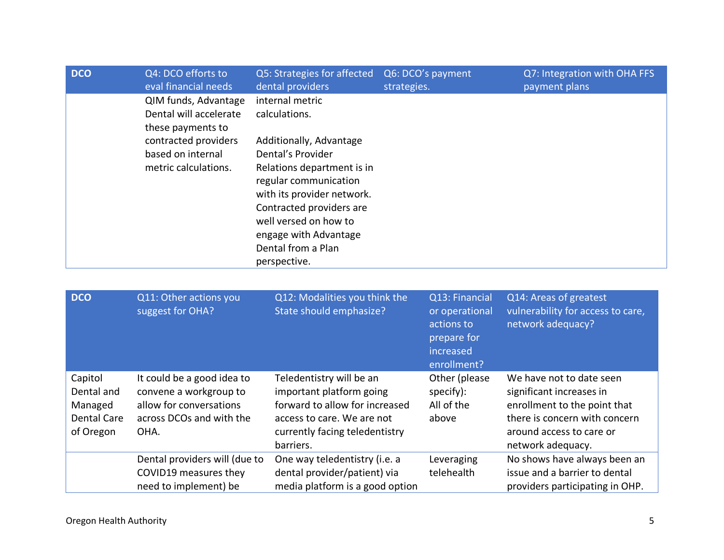| <b>DCO</b> | Q4: DCO efforts to<br>eval financial needs                          | Q5: Strategies for affected<br>dental providers                                                                                                                                                                                       | Q6: DCO's payment<br>strategies. | Q7: Integration with OHA FFS<br>payment plans |
|------------|---------------------------------------------------------------------|---------------------------------------------------------------------------------------------------------------------------------------------------------------------------------------------------------------------------------------|----------------------------------|-----------------------------------------------|
|            | QIM funds, Advantage<br>Dental will accelerate<br>these payments to | internal metric<br>calculations.                                                                                                                                                                                                      |                                  |                                               |
|            | contracted providers<br>based on internal<br>metric calculations.   | Additionally, Advantage<br>Dental's Provider<br>Relations department is in<br>regular communication<br>with its provider network.<br>Contracted providers are<br>well versed on how to<br>engage with Advantage<br>Dental from a Plan |                                  |                                               |
|            |                                                                     | perspective.                                                                                                                                                                                                                          |                                  |                                               |

| <b>DCO</b>                                                          | Q11: Other actions you<br>suggest for OHA?                                                                          | Q12: Modalities you think the<br>State should emphasize?                                                                                                            | Q13: Financial<br>or operational<br>actions to<br>prepare for<br>increased<br>enrollment? | Q14: Areas of greatest<br>vulnerability for access to care,<br>network adequacy?                                                                                       |
|---------------------------------------------------------------------|---------------------------------------------------------------------------------------------------------------------|---------------------------------------------------------------------------------------------------------------------------------------------------------------------|-------------------------------------------------------------------------------------------|------------------------------------------------------------------------------------------------------------------------------------------------------------------------|
| Capitol<br>Dental and<br>Managed<br><b>Dental Care</b><br>of Oregon | It could be a good idea to<br>convene a workgroup to<br>allow for conversations<br>across DCOs and with the<br>OHA. | Teledentistry will be an<br>important platform going<br>forward to allow for increased<br>access to care. We are not<br>currently facing teledentistry<br>barriers. | Other (please<br>specify):<br>All of the<br>above                                         | We have not to date seen<br>significant increases in<br>enrollment to the point that<br>there is concern with concern<br>around access to care or<br>network adequacy. |
|                                                                     | Dental providers will (due to<br>COVID19 measures they<br>need to implement) be                                     | One way teledentistry (i.e. a<br>dental provider/patient) via<br>media platform is a good option                                                                    | Leveraging<br>telehealth                                                                  | No shows have always been an<br>issue and a barrier to dental<br>providers participating in OHP.                                                                       |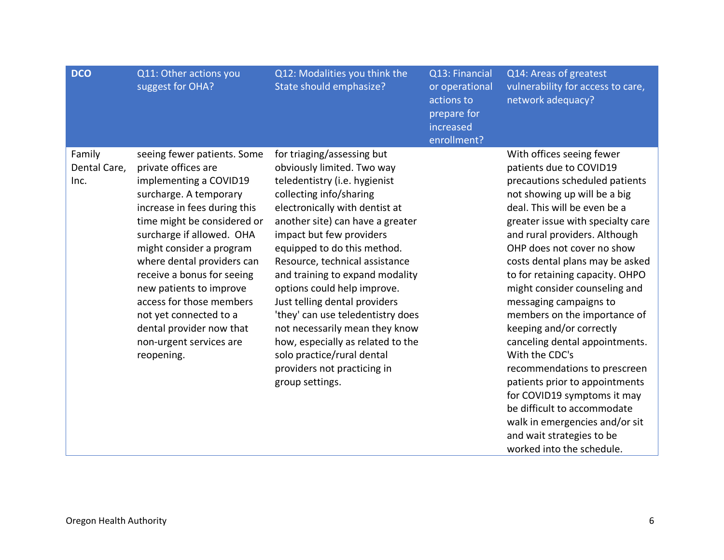| <b>DCO</b>                     | Q11: Other actions you<br>suggest for OHA?                                                                                                                                                                                                                                                                                                                                                                                                       | Q12: Modalities you think the<br>State should emphasize?                                                                                                                                                                                                                                                                                                                                                                                                                                                                                                                               | Q13: Financial<br>or operational<br>actions to<br>prepare for<br>increased<br>enrollment? | Q14: Areas of greatest<br>vulnerability for access to care,<br>network adequacy?                                                                                                                                                                                                                                                                                                                                                                                                                                                                                                                                                                                                                                                        |
|--------------------------------|--------------------------------------------------------------------------------------------------------------------------------------------------------------------------------------------------------------------------------------------------------------------------------------------------------------------------------------------------------------------------------------------------------------------------------------------------|----------------------------------------------------------------------------------------------------------------------------------------------------------------------------------------------------------------------------------------------------------------------------------------------------------------------------------------------------------------------------------------------------------------------------------------------------------------------------------------------------------------------------------------------------------------------------------------|-------------------------------------------------------------------------------------------|-----------------------------------------------------------------------------------------------------------------------------------------------------------------------------------------------------------------------------------------------------------------------------------------------------------------------------------------------------------------------------------------------------------------------------------------------------------------------------------------------------------------------------------------------------------------------------------------------------------------------------------------------------------------------------------------------------------------------------------------|
| Family<br>Dental Care,<br>Inc. | seeing fewer patients. Some<br>private offices are<br>implementing a COVID19<br>surcharge. A temporary<br>increase in fees during this<br>time might be considered or<br>surcharge if allowed. OHA<br>might consider a program<br>where dental providers can<br>receive a bonus for seeing<br>new patients to improve<br>access for those members<br>not yet connected to a<br>dental provider now that<br>non-urgent services are<br>reopening. | for triaging/assessing but<br>obviously limited. Two way<br>teledentistry (i.e. hygienist<br>collecting info/sharing<br>electronically with dentist at<br>another site) can have a greater<br>impact but few providers<br>equipped to do this method.<br>Resource, technical assistance<br>and training to expand modality<br>options could help improve.<br>Just telling dental providers<br>'they' can use teledentistry does<br>not necessarily mean they know<br>how, especially as related to the<br>solo practice/rural dental<br>providers not practicing in<br>group settings. |                                                                                           | With offices seeing fewer<br>patients due to COVID19<br>precautions scheduled patients<br>not showing up will be a big<br>deal. This will be even be a<br>greater issue with specialty care<br>and rural providers. Although<br>OHP does not cover no show<br>costs dental plans may be asked<br>to for retaining capacity. OHPO<br>might consider counseling and<br>messaging campaigns to<br>members on the importance of<br>keeping and/or correctly<br>canceling dental appointments.<br>With the CDC's<br>recommendations to prescreen<br>patients prior to appointments<br>for COVID19 symptoms it may<br>be difficult to accommodate<br>walk in emergencies and/or sit<br>and wait strategies to be<br>worked into the schedule. |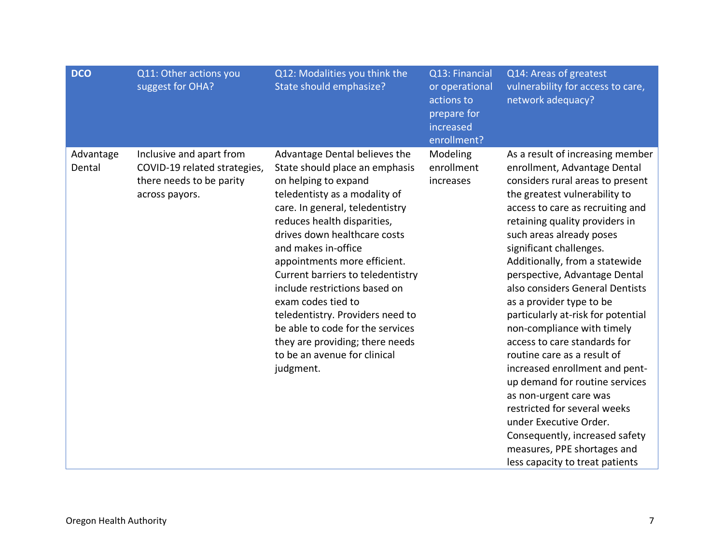| <b>DCO</b>          | Q11: Other actions you<br>suggest for OHA?                                                             | Q12: Modalities you think the<br>State should emphasize?                                                                                                                                                                                                                                                                                                                                                                                                                                                                              | Q13: Financial<br>or operational<br>actions to<br>prepare for<br>increased<br>enrollment? | Q14: Areas of greatest<br>vulnerability for access to care,<br>network adequacy?                                                                                                                                                                                                                                                                                                                                                                                                                                                                                                                                                                                                                                                                                                                    |
|---------------------|--------------------------------------------------------------------------------------------------------|---------------------------------------------------------------------------------------------------------------------------------------------------------------------------------------------------------------------------------------------------------------------------------------------------------------------------------------------------------------------------------------------------------------------------------------------------------------------------------------------------------------------------------------|-------------------------------------------------------------------------------------------|-----------------------------------------------------------------------------------------------------------------------------------------------------------------------------------------------------------------------------------------------------------------------------------------------------------------------------------------------------------------------------------------------------------------------------------------------------------------------------------------------------------------------------------------------------------------------------------------------------------------------------------------------------------------------------------------------------------------------------------------------------------------------------------------------------|
| Advantage<br>Dental | Inclusive and apart from<br>COVID-19 related strategies,<br>there needs to be parity<br>across payors. | Advantage Dental believes the<br>State should place an emphasis<br>on helping to expand<br>teledentisty as a modality of<br>care. In general, teledentistry<br>reduces health disparities,<br>drives down healthcare costs<br>and makes in-office<br>appointments more efficient.<br>Current barriers to teledentistry<br>include restrictions based on<br>exam codes tied to<br>teledentistry. Providers need to<br>be able to code for the services<br>they are providing; there needs<br>to be an avenue for clinical<br>judgment. | Modeling<br>enrollment<br>increases                                                       | As a result of increasing member<br>enrollment, Advantage Dental<br>considers rural areas to present<br>the greatest vulnerability to<br>access to care as recruiting and<br>retaining quality providers in<br>such areas already poses<br>significant challenges.<br>Additionally, from a statewide<br>perspective, Advantage Dental<br>also considers General Dentists<br>as a provider type to be<br>particularly at-risk for potential<br>non-compliance with timely<br>access to care standards for<br>routine care as a result of<br>increased enrollment and pent-<br>up demand for routine services<br>as non-urgent care was<br>restricted for several weeks<br>under Executive Order.<br>Consequently, increased safety<br>measures, PPE shortages and<br>less capacity to treat patients |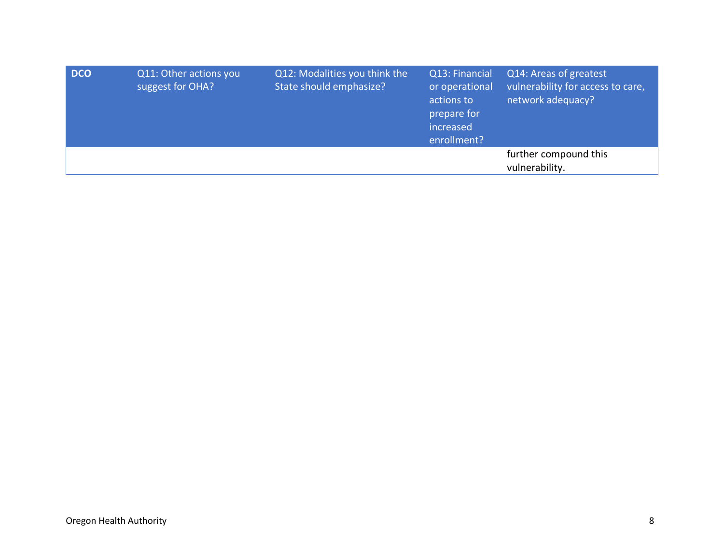| <b>DCO</b> | Q11: Other actions you<br>suggest for OHA? | Q12: Modalities you think the<br>State should emphasize? | Q13: Financial<br>or operational<br>actions to<br>prepare for<br>increased<br>enrollment? | Q14: Areas of greatest<br>vulnerability for access to care,<br>network adequacy? |
|------------|--------------------------------------------|----------------------------------------------------------|-------------------------------------------------------------------------------------------|----------------------------------------------------------------------------------|
|            |                                            |                                                          |                                                                                           | further compound this<br>vulnerability.                                          |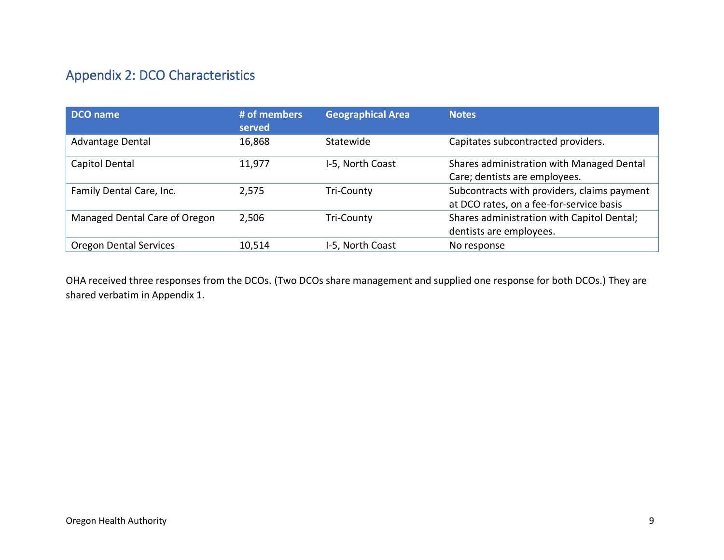## Appendix 2: DCO Characteristics

| DCO name                      | # of members<br>served | <b>Geographical Area</b> | <b>Notes</b>                                                                            |
|-------------------------------|------------------------|--------------------------|-----------------------------------------------------------------------------------------|
| Advantage Dental              | 16,868                 | Statewide                | Capitates subcontracted providers.                                                      |
| Capitol Dental                | 11,977                 | I-5, North Coast         | Shares administration with Managed Dental<br>Care; dentists are employees.              |
| Family Dental Care, Inc.      | 2,575                  | Tri-County               | Subcontracts with providers, claims payment<br>at DCO rates, on a fee-for-service basis |
| Managed Dental Care of Oregon | 2,506                  | Tri-County               | Shares administration with Capitol Dental;<br>dentists are employees.                   |
| <b>Oregon Dental Services</b> | 10,514                 | I-5, North Coast         | No response                                                                             |

OHA received three responses from the DCOs. (Two DCOs share management and supplied one response for both DCOs.) They are shared verbatim in Appendix 1.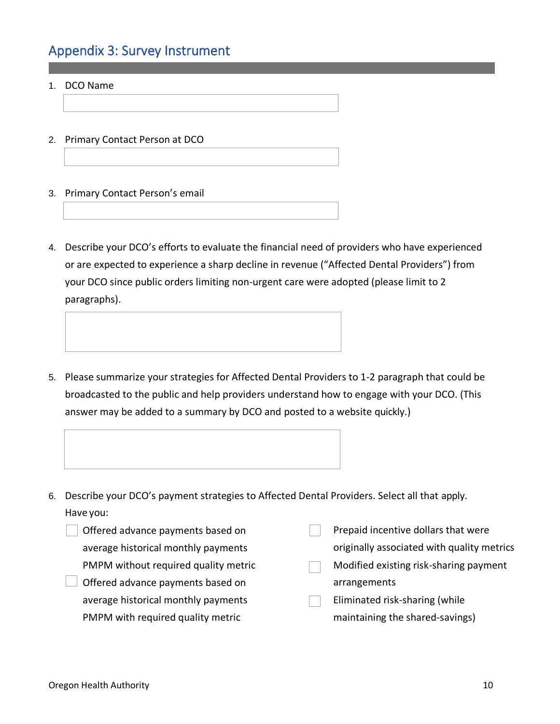## Appendix 3: Survey Instrument

- 1. DCO Name
- 2. Primary Contact Person at DCO
- 3. Primary Contact Person's email
- 4. Describe your DCO's efforts to evaluate the financial need of providers who have experienced or are expected to experience a sharp decline in revenue ("Affected Dental Providers") from your DCO since public orders limiting non-urgent care were adopted (please limit to 2 paragraphs).
- 5. Please summarize your strategies for Affected Dental Providers to 1-2 paragraph that could be broadcasted to the public and help providers understand how to engage with your DCO. (This answer may be added to a summary by DCO and posted to a website quickly.)



- Offered advance payments based on average historical monthly payments PMPM without required quality metric
- Offered advance payments based on average historical monthly payments PMPM with required quality metric

Prepaid incentive dollars that were

originally associated with quality metrics

- Modified existing risk-sharing payment arrangements
- Eliminated risk-sharing (while maintaining the shared-savings)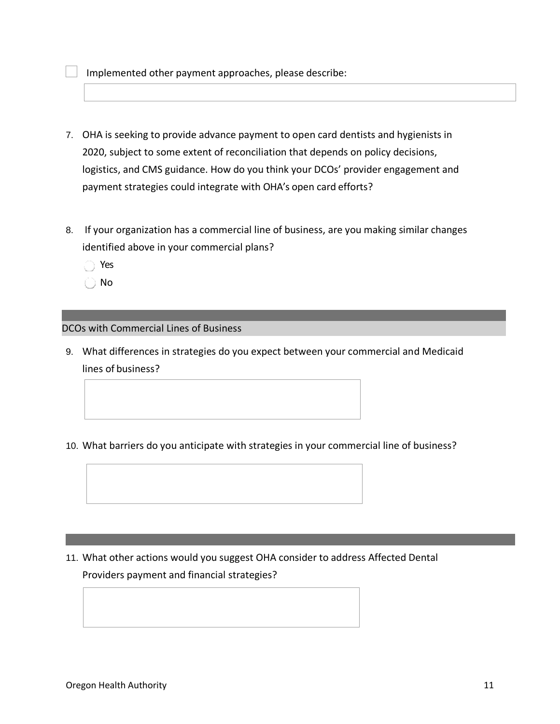Implemented other payment approaches, please describe:

- 7. OHA is seeking to provide advance payment to open card dentists and hygienists in 2020, subject to some extent of reconciliation that depends on policy decisions, logistics, and CMS guidance. How do you think your DCOs' provider engagement and payment strategies could integrate with OHA's open card efforts?
- 8. If your organization has a commercial line of business, are you making similar changes identified above in your commercial plans?
	- Yes
	- No

## DCOs with Commercial Lines of Business

- 9. What differences in strategies do you expect between your commercial and Medicaid lines of business?
- 10. What barriers do you anticipate with strategies in your commercial line of business?

11. What other actions would you suggest OHA consider to address Affected Dental Providers payment and financial strategies?